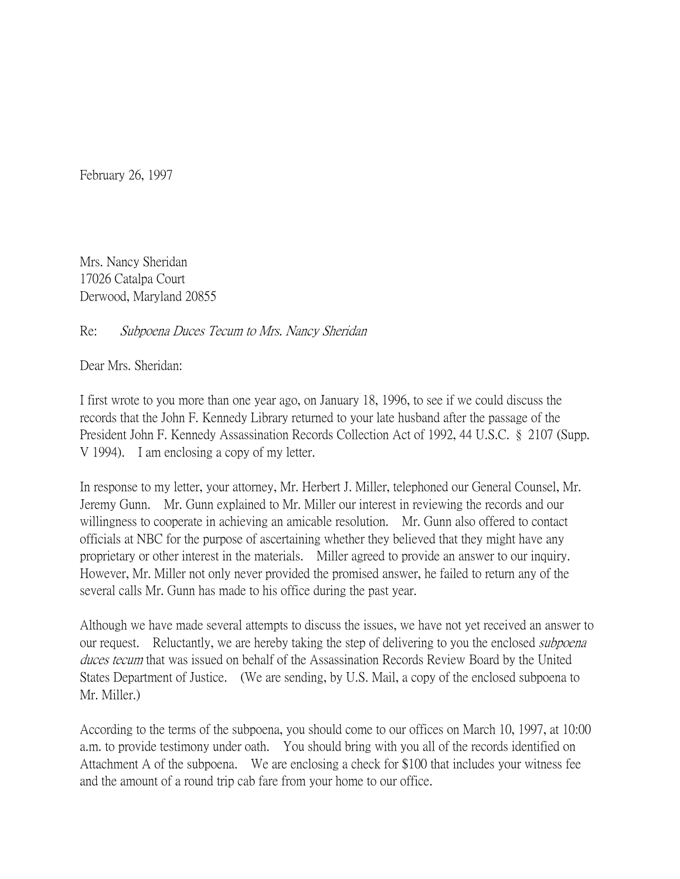February 26, 1997

Mrs. Nancy Sheridan 17026 Catalpa Court Derwood, Maryland 20855

Re: Subpoena Duces Tecum to Mrs. Nancy Sheridan

Dear Mrs. Sheridan:

I first wrote to you more than one year ago, on January 18, 1996, to see if we could discuss the records that the John F. Kennedy Library returned to your late husband after the passage of the President John F. Kennedy Assassination Records Collection Act of 1992, 44 U.S.C. § 2107 (Supp. V 1994). I am enclosing a copy of my letter.

In response to my letter, your attorney, Mr. Herbert J. Miller, telephoned our General Counsel, Mr. Jeremy Gunn. Mr. Gunn explained to Mr. Miller our interest in reviewing the records and our willingness to cooperate in achieving an amicable resolution. Mr. Gunn also offered to contact officials at NBC for the purpose of ascertaining whether they believed that they might have any proprietary or other interest in the materials. Miller agreed to provide an answer to our inquiry. However, Mr. Miller not only never provided the promised answer, he failed to return any of the several calls Mr. Gunn has made to his office during the past year.

Although we have made several attempts to discuss the issues, we have not yet received an answer to our request. Reluctantly, we are hereby taking the step of delivering to you the enclosed *subpoena* duces tecum that was issued on behalf of the Assassination Records Review Board by the United States Department of Justice. (We are sending, by U.S. Mail, a copy of the enclosed subpoena to Mr. Miller.)

According to the terms of the subpoena, you should come to our offices on March 10, 1997, at 10:00 a.m. to provide testimony under oath. You should bring with you all of the records identified on Attachment A of the subpoena. We are enclosing a check for \$100 that includes your witness fee and the amount of a round trip cab fare from your home to our office.